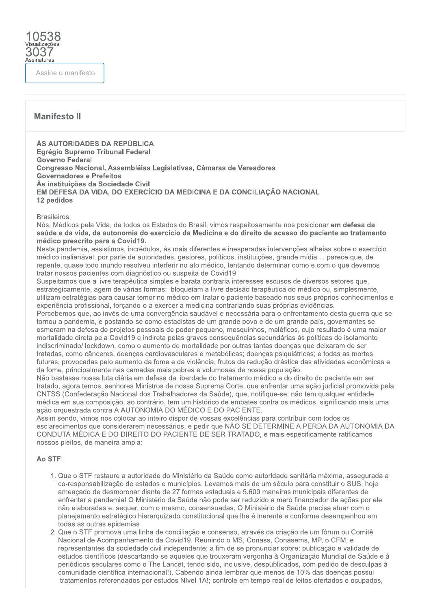# Assine o manifesto

Assinaturas

# **Manifesto II**

ÀS AUTORIDADES DA REPÚBLICA Egrégio Supremo Tribunal Federal **Governo Federal** Congresso Nacional, Assembléias Legislativas, Câmaras de Vereadores **Governadores e Prefeitos** Às instituições da Sociedade Civil EM DEFESA DA VIDA, DO EXERCÍCIO DA MEDICINA E DA CONCILIAÇÃO NACIONAL 12 pedidos

#### Brasileiros.

Nós, Médicos pela Vida, de todos os Estados do Brasil, vimos respeitosamente nos posicionar em defesa da saúde e da vida, da autonomia do exercício da Medicina e do direito de acesso do paciente ao tratamento médico prescrito para a Covid19.

Nesta pandemia, assistimos, incrédulos, às mais diferentes e inesperadas intervenções alheias sobre o exercício médico inalienável, por parte de autoridades, gestores, políticos, instituições, grande mídia ... parece que, de repente, quase todo mundo resolveu interferir no ato médico, tentando determinar como e com o que devemos tratar nossos pacientes com diagnóstico ou suspeita de Covid19.

Suspeitamos que a livre terapêutica simples e barata contraria interesses escusos de diversos setores que, estrategicamente, agem de várias formas: bloqueiam a livre decisão terapêutica do médico ou, simplesmente, utilizam estratégias para causar temor no médico em tratar o paciente baseado nos seus próprios conhecimentos e experiência profissional, forçando-o a exercer a medicina contrariando suas próprias evidências.

Percebemos que, ao invés de uma convergência saudável e necessária para o enfrentamento desta querra que se tornou a pandemia, e postando-se como estadistas de um grande povo e de um grande país, governantes se esmeram na defesa de projetos pessoais de poder pequeno, mesquinhos, maléficos, cujo resultado é uma maior mortalidade direta pela Covid19 e indireta pelas graves consequências secundárias às políticas de isolamento indiscriminado/ lockdown, como o aumento de mortalidade por outras tantas doencas que deixaram de ser tratadas, como cânceres, doencas cardiovasculares e metabólicas; doencas psiquiátricas; e todas as mortes futuras, provocadas pelo aumento da fome e da violência, frutos da redução drástica das atividades econômicas e da fome, principalmente nas camadas mais pobres e volumosas de nossa população.

Não bastasse nossa luta diária em defesa da liberdade do tratamento médico e do direito do paciente em ser tratado, agora temos, senhores Ministros de nossa Suprema Corte, que enfrentar uma ação judicial promovida pela CNTSS (Confederação Nacional dos Trabalhadores da Saúde), que, notifique-se: não tem qualquer entidade médica em sua composição, ao contrário, tem um histórico de embates contra os médicos, significando mais uma ação orquestrada contra A AUTONOMIA DO MÉDICO E DO PACIENTE.

Assim sendo, vimos nos colocar ao inteiro dispor de vossas excelências para contribuir com todos os esclarecimentos que considerarem necessários, e pedir que NÃO SE DETERMINE A PERDA DA AUTONOMIA DA CONDUTA MÉDICA E DO DIREITO DO PACIENTE DE SER TRATADO, e mais especificamente ratificamos nossos pleitos, de maneira ampla:

### Ao STF:

- 1. Que o STF restaure a autoridade do Ministério da Saúde como autoridade sanitária máxima, assegurada a co-responsabilização de estados e municípios. Levamos mais de um século para constituir o SUS, hoje ameacado de desmoronar diante de 27 formas estaduais e 5.600 maneiras municipais diferentes de enfrentar a pandemia! O Ministério da Saúde não pode ser reduzido a mero financiador de ações por ele não elaboradas e, sequer, com o mesmo, consensuadas. O Ministério da Saúde precisa atuar com o planejamento estratégico hierarquizado constitucional que lhe é inerente e conforme desempenhou em todas as outras epidemias.
- 2. Que o STF promova uma linha de conciliação e consenso, através da criação de um fórum ou Comitê Nacional de Acompanhamento da Covid19, Reunindo o MS, Conass, Conasems, MP, o CFM, e representantes da sociedade civil independente: a fim de se pronunciar sobre: publicação e validade de estudos científicos (descartando-se aqueles que trouxeram vergonha à Organização Mundial de Saúde e à periódicos seculares como o The Lancet, tendo sido, inclusive, despublicados, com pedido de desculpas à comunidade científica internacional!). Cabendo ainda lembrar que menos de 10% das doenças possui tratamentos referendados por estudos Nível 1A!; controle em tempo real de leitos ofertados e ocupados,